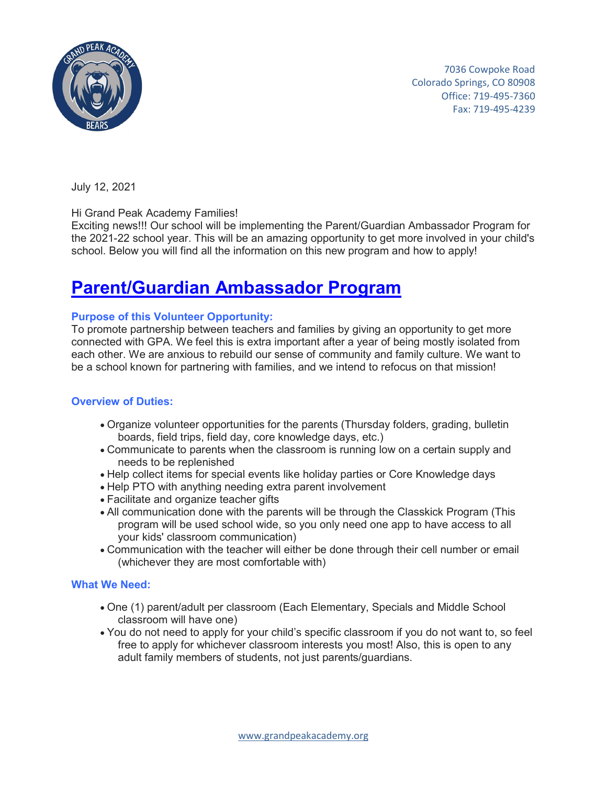

 7036 Cowpoke Road Colorado Springs, CO 80908 Office: 719-495-7360 Fax: 719-495-4239

July 12, 2021

Hi Grand Peak Academy Families!

Exciting news!!! Our school will be implementing the Parent/Guardian Ambassador Program for the 2021-22 school year. This will be an amazing opportunity to get more involved in your child's school. Below you will find all the information on this new program and how to apply!

# **Parent/Guardian Ambassador Program**

### **Purpose of this Volunteer Opportunity:**

To promote partnership between teachers and families by giving an opportunity to get more connected with GPA. We feel this is extra important after a year of being mostly isolated from each other. We are anxious to rebuild our sense of community and family culture. We want to be a school known for partnering with families, and we intend to refocus on that mission!

### **Overview of Duties:**

- Organize volunteer opportunities for the parents (Thursday folders, grading, bulletin boards, field trips, field day, core knowledge days, etc.)
- Communicate to parents when the classroom is running low on a certain supply and needs to be replenished
- Help collect items for special events like holiday parties or Core Knowledge days
- Help PTO with anything needing extra parent involvement
- Facilitate and organize teacher gifts
- All communication done with the parents will be through the Classkick Program (This program will be used school wide, so you only need one app to have access to all your kids' classroom communication)
- Communication with the teacher will either be done through their cell number or email (whichever they are most comfortable with)

### **What We Need:**

- One (1) parent/adult per classroom (Each Elementary, Specials and Middle School classroom will have one)
- You do not need to apply for your child's specific classroom if you do not want to, so feel free to apply for whichever classroom interests you most! Also, this is open to any adult family members of students, not just parents/guardians.